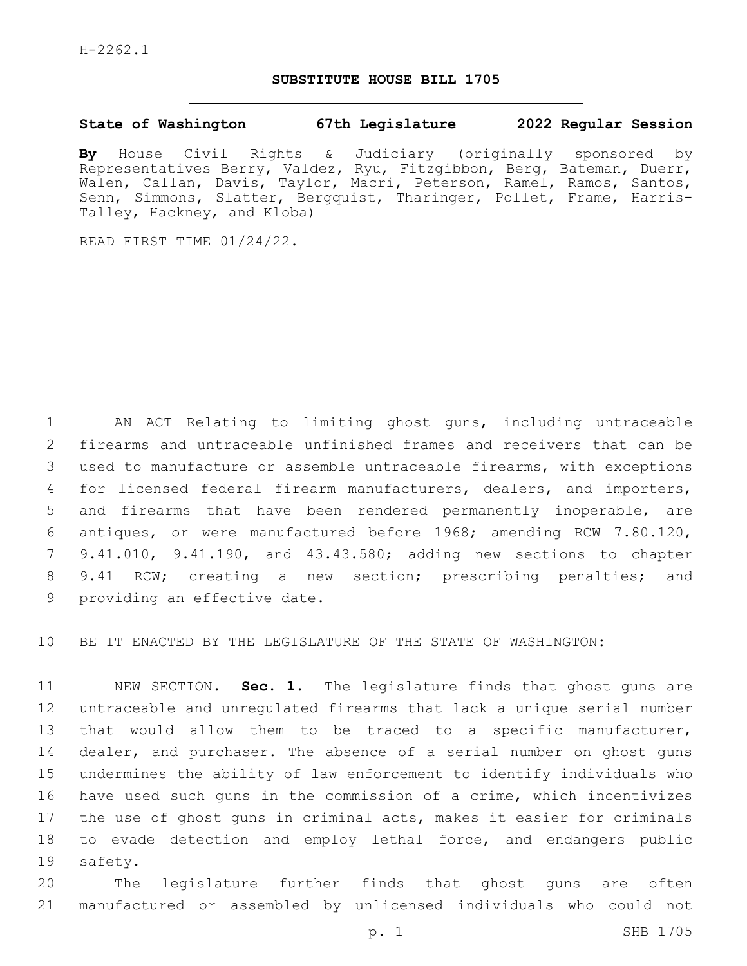## **SUBSTITUTE HOUSE BILL 1705**

## **State of Washington 67th Legislature 2022 Regular Session**

**By** House Civil Rights & Judiciary (originally sponsored by Representatives Berry, Valdez, Ryu, Fitzgibbon, Berg, Bateman, Duerr, Walen, Callan, Davis, Taylor, Macri, Peterson, Ramel, Ramos, Santos, Senn, Simmons, Slatter, Bergquist, Tharinger, Pollet, Frame, Harris-Talley, Hackney, and Kloba)

READ FIRST TIME 01/24/22.

 AN ACT Relating to limiting ghost guns, including untraceable firearms and untraceable unfinished frames and receivers that can be used to manufacture or assemble untraceable firearms, with exceptions for licensed federal firearm manufacturers, dealers, and importers, and firearms that have been rendered permanently inoperable, are antiques, or were manufactured before 1968; amending RCW 7.80.120, 9.41.010, 9.41.190, and 43.43.580; adding new sections to chapter 9.41 RCW; creating a new section; prescribing penalties; and 9 providing an effective date.

BE IT ENACTED BY THE LEGISLATURE OF THE STATE OF WASHINGTON:

 NEW SECTION. **Sec. 1.** The legislature finds that ghost guns are untraceable and unregulated firearms that lack a unique serial number that would allow them to be traced to a specific manufacturer, dealer, and purchaser. The absence of a serial number on ghost guns undermines the ability of law enforcement to identify individuals who have used such guns in the commission of a crime, which incentivizes the use of ghost guns in criminal acts, makes it easier for criminals to evade detection and employ lethal force, and endangers public safety.

 The legislature further finds that ghost guns are often manufactured or assembled by unlicensed individuals who could not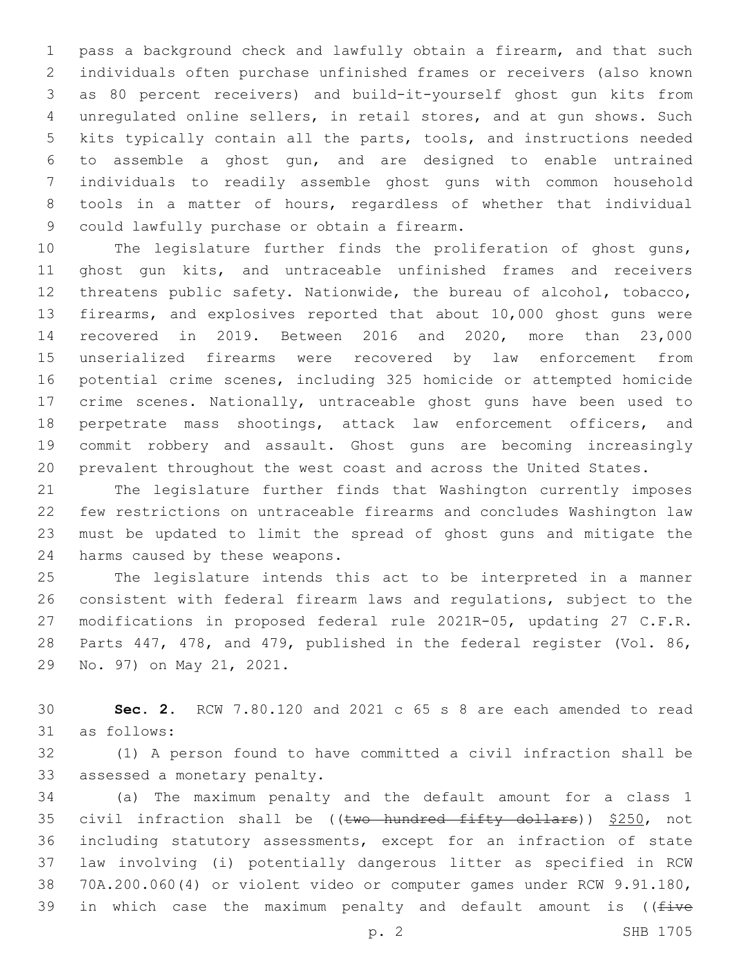pass a background check and lawfully obtain a firearm, and that such individuals often purchase unfinished frames or receivers (also known as 80 percent receivers) and build-it-yourself ghost gun kits from unregulated online sellers, in retail stores, and at gun shows. Such kits typically contain all the parts, tools, and instructions needed to assemble a ghost gun, and are designed to enable untrained individuals to readily assemble ghost guns with common household tools in a matter of hours, regardless of whether that individual 9 could lawfully purchase or obtain a firearm.

 The legislature further finds the proliferation of ghost guns, ghost gun kits, and untraceable unfinished frames and receivers threatens public safety. Nationwide, the bureau of alcohol, tobacco, firearms, and explosives reported that about 10,000 ghost guns were recovered in 2019. Between 2016 and 2020, more than 23,000 unserialized firearms were recovered by law enforcement from potential crime scenes, including 325 homicide or attempted homicide crime scenes. Nationally, untraceable ghost guns have been used to perpetrate mass shootings, attack law enforcement officers, and commit robbery and assault. Ghost guns are becoming increasingly prevalent throughout the west coast and across the United States.

 The legislature further finds that Washington currently imposes few restrictions on untraceable firearms and concludes Washington law must be updated to limit the spread of ghost guns and mitigate the 24 harms caused by these weapons.

 The legislature intends this act to be interpreted in a manner consistent with federal firearm laws and regulations, subject to the modifications in proposed federal rule 2021R-05, updating 27 C.F.R. Parts 447, 478, and 479, published in the federal register (Vol. 86, 29 No. 97) on May 21, 2021.

 **Sec. 2.** RCW 7.80.120 and 2021 c 65 s 8 are each amended to read 31 as follows:

 (1) A person found to have committed a civil infraction shall be 33 assessed a monetary penalty.

 (a) The maximum penalty and the default amount for a class 1 35 civil infraction shall be ((two hundred fifty dollars)) \$250, not including statutory assessments, except for an infraction of state law involving (i) potentially dangerous litter as specified in RCW 70A.200.060(4) or violent video or computer games under RCW 9.91.180, 39 in which case the maximum penalty and default amount is ( $f$ ive

p. 2 SHB 1705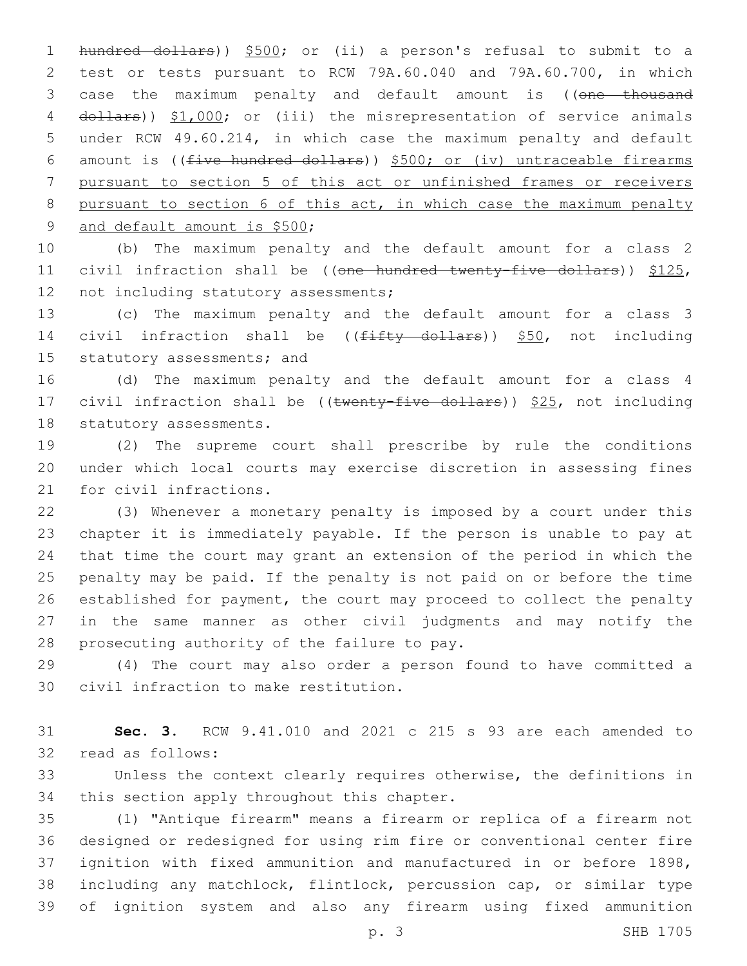hundred dollars)) \$500; or (ii) a person's refusal to submit to a test or tests pursuant to RCW 79A.60.040 and 79A.60.700, in which 3 case the maximum penalty and default amount is ((one thousand 4 dollars)) \$1,000; or (iii) the misrepresentation of service animals under RCW 49.60.214, in which case the maximum penalty and default amount is ((five hundred dollars)) \$500; or (iv) untraceable firearms pursuant to section 5 of this act or unfinished frames or receivers pursuant to section 6 of this act, in which case the maximum penalty 9 and default amount is \$500;

 (b) The maximum penalty and the default amount for a class 2 11 civil infraction shall be ((one hundred twenty-five dollars)) \$125, 12 not including statutory assessments;

 (c) The maximum penalty and the default amount for a class 3 14 civil infraction shall be ((fifty dollars)) \$50, not including 15 statutory assessments; and

 (d) The maximum penalty and the default amount for a class 4 17 civil infraction shall be ((twenty-five dollars)) \$25, not including 18 statutory assessments.

 (2) The supreme court shall prescribe by rule the conditions under which local courts may exercise discretion in assessing fines 21 for civil infractions.

 (3) Whenever a monetary penalty is imposed by a court under this chapter it is immediately payable. If the person is unable to pay at that time the court may grant an extension of the period in which the penalty may be paid. If the penalty is not paid on or before the time established for payment, the court may proceed to collect the penalty in the same manner as other civil judgments and may notify the 28 prosecuting authority of the failure to pay.

 (4) The court may also order a person found to have committed a 30 civil infraction to make restitution.

 **Sec. 3.** RCW 9.41.010 and 2021 c 215 s 93 are each amended to 32 read as follows:

 Unless the context clearly requires otherwise, the definitions in 34 this section apply throughout this chapter.

 (1) "Antique firearm" means a firearm or replica of a firearm not designed or redesigned for using rim fire or conventional center fire ignition with fixed ammunition and manufactured in or before 1898, including any matchlock, flintlock, percussion cap, or similar type of ignition system and also any firearm using fixed ammunition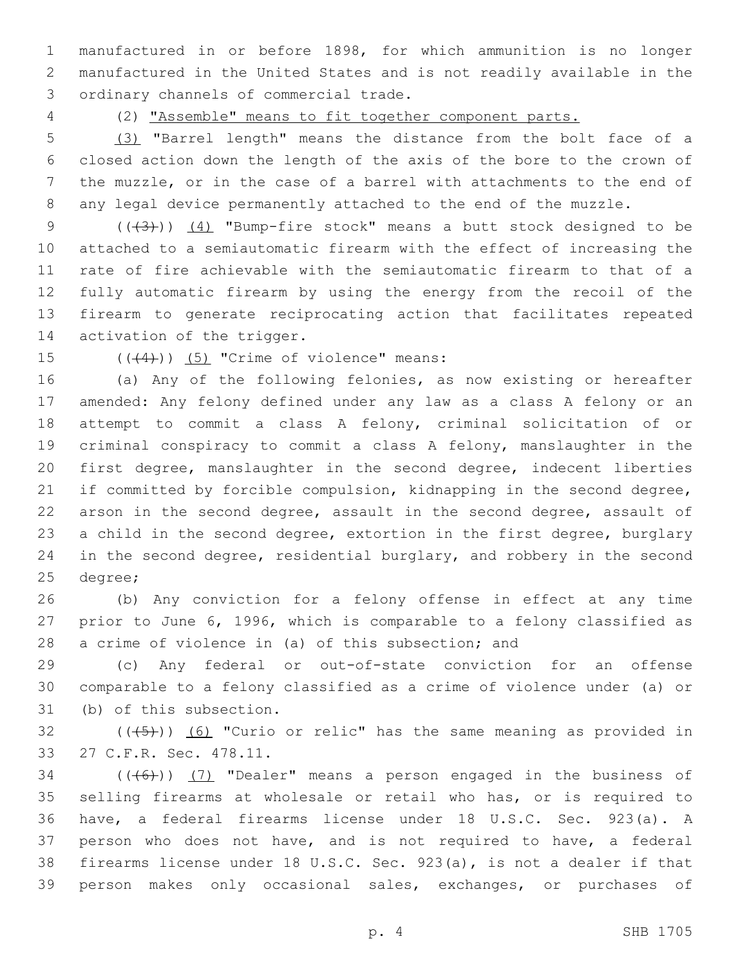manufactured in or before 1898, for which ammunition is no longer manufactured in the United States and is not readily available in the 3 ordinary channels of commercial trade.

(2) "Assemble" means to fit together component parts.

 (3) "Barrel length" means the distance from the bolt face of a closed action down the length of the axis of the bore to the crown of the muzzle, or in the case of a barrel with attachments to the end of any legal device permanently attached to the end of the muzzle.

 $((+3))$   $(4)$  "Bump-fire stock" means a butt stock designed to be attached to a semiautomatic firearm with the effect of increasing the rate of fire achievable with the semiautomatic firearm to that of a fully automatic firearm by using the energy from the recoil of the firearm to generate reciprocating action that facilitates repeated 14 activation of the trigger.

 $($  $($  $($  $($  $($  $4$  $)$  $)$   $($   $5$  $)$  "Crime of violence" means:

 (a) Any of the following felonies, as now existing or hereafter amended: Any felony defined under any law as a class A felony or an attempt to commit a class A felony, criminal solicitation of or criminal conspiracy to commit a class A felony, manslaughter in the first degree, manslaughter in the second degree, indecent liberties if committed by forcible compulsion, kidnapping in the second degree, arson in the second degree, assault in the second degree, assault of a child in the second degree, extortion in the first degree, burglary in the second degree, residential burglary, and robbery in the second 25 degree;

 (b) Any conviction for a felony offense in effect at any time prior to June 6, 1996, which is comparable to a felony classified as a crime of violence in (a) of this subsection; and

 (c) Any federal or out-of-state conviction for an offense comparable to a felony classified as a crime of violence under (a) or 31 (b) of this subsection.

 (( $(45)$ )) (6) "Curio or relic" has the same meaning as provided in 33 27 C.F.R. Sec. 478.11.

 (( $(46)$ )) (7) "Dealer" means a person engaged in the business of selling firearms at wholesale or retail who has, or is required to have, a federal firearms license under 18 U.S.C. Sec. 923(a). A person who does not have, and is not required to have, a federal firearms license under 18 U.S.C. Sec. 923(a), is not a dealer if that person makes only occasional sales, exchanges, or purchases of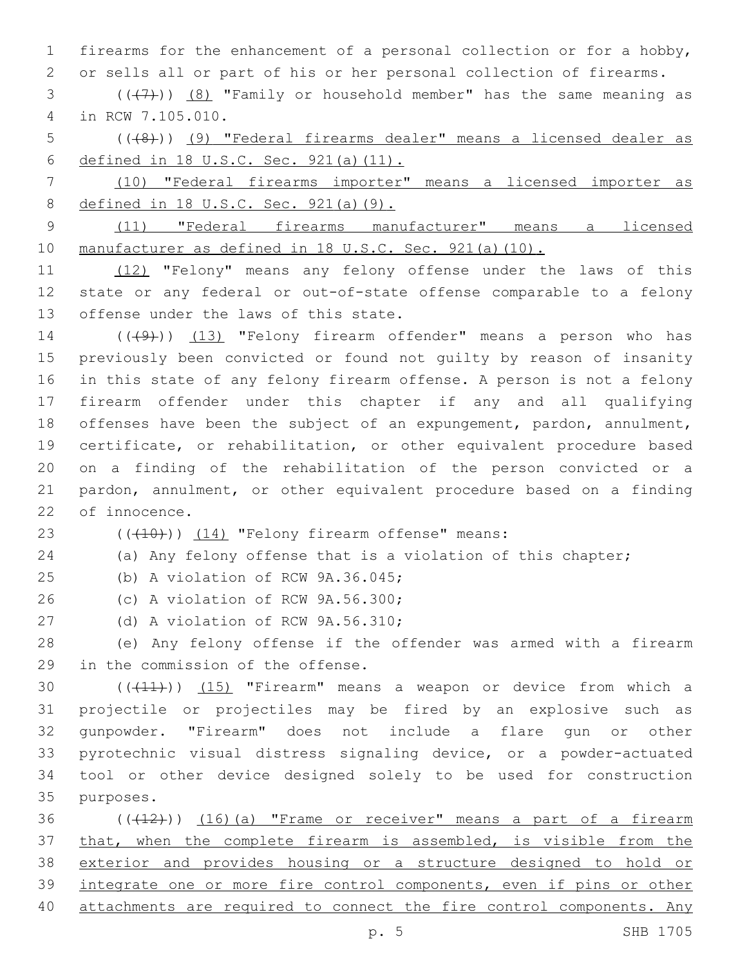1 firearms for the enhancement of a personal collection or for a hobby, 2 or sells all or part of his or her personal collection of firearms.

 $(1, 3, 1)$  (( $(1, 7)$ )) (8) "Family or household member" has the same meaning as in RCW 7.105.010.4

5 (((8))) (9) "Federal firearms dealer" means a licensed dealer as 6 defined in 18 U.S.C. Sec. 921(a)(11).

7 (10) "Federal firearms importer" means a licensed importer as 8 defined in 18 U.S.C. Sec. 921(a)(9).

9 (11) "Federal firearms manufacturer" means a licensed 10 manufacturer as defined in 18 U.S.C. Sec. 921(a)(10).

11 (12) "Felony" means any felony offense under the laws of this 12 state or any federal or out-of-state offense comparable to a felony 13 offense under the laws of this state.

14 (((49)) (13) "Felony firearm offender" means a person who has previously been convicted or found not guilty by reason of insanity in this state of any felony firearm offense. A person is not a felony firearm offender under this chapter if any and all qualifying offenses have been the subject of an expungement, pardon, annulment, certificate, or rehabilitation, or other equivalent procedure based on a finding of the rehabilitation of the person convicted or a pardon, annulment, or other equivalent procedure based on a finding 22 of innocence.

## 23  $((+10))$   $(14)$  "Felony firearm offense" means:

24 (a) Any felony offense that is a violation of this chapter;

25 (b) A violation of RCW 9A.36.045;

26 (c) A violation of RCW 9A.56.300;

27 (d) A violation of RCW 9A.56.310;

28 (e) Any felony offense if the offender was armed with a firearm 29 in the commission of the offense.

 $((+11))$   $(15)$  "Firearm" means a weapon or device from which a projectile or projectiles may be fired by an explosive such as gunpowder. "Firearm" does not include a flare gun or other pyrotechnic visual distress signaling device, or a powder-actuated tool or other device designed solely to be used for construction 35 purposes.

36 ((+12))) (16)(a) "Frame or receiver" means a part of a firearm 37 that, when the complete firearm is assembled, is visible from the 38 exterior and provides housing or a structure designed to hold or 39 integrate one or more fire control components, even if pins or other 40 attachments are required to connect the fire control components. Any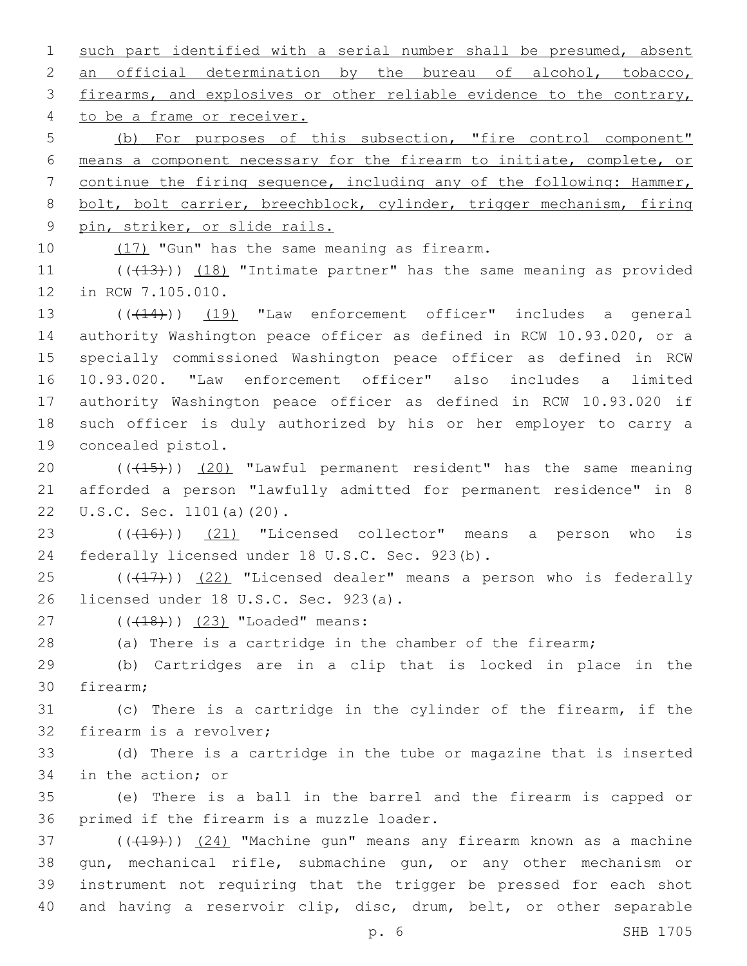1 such part identified with a serial number shall be presumed, absent 2 an official determination by the bureau of alcohol, tobacco, 3 firearms, and explosives or other reliable evidence to the contrary, 4 to be a frame or receiver. 5 (b) For purposes of this subsection, "fire control component"

 means a component necessary for the firearm to initiate, complete, or continue the firing sequence, including any of the following: Hammer, bolt, bolt carrier, breechblock, cylinder, trigger mechanism, firing pin, striker, or slide rails.

10  $(17)$  "Gun" has the same meaning as firearm.

11 (((413))) (18) "Intimate partner" has the same meaning as provided 12 in RCW 7.105.010.

13 (( $(14)$ )) (19) "Law enforcement officer" includes a general authority Washington peace officer as defined in RCW 10.93.020, or a specially commissioned Washington peace officer as defined in RCW 10.93.020. "Law enforcement officer" also includes a limited authority Washington peace officer as defined in RCW 10.93.020 if such officer is duly authorized by his or her employer to carry a 19 concealed pistol.

20 (((15))) (20) "Lawful permanent resident" has the same meaning 21 afforded a person "lawfully admitted for permanent residence" in 8 22 U.S.C. Sec. 1101(a)(20).

 $(1.46)$  ( $(1.6)$ ) (21) "Licensed collector" means a person who is 24 federally licensed under 18 U.S.C. Sec. 923(b).

 $25$  ( $(\overline{+17})$ )  $(22)$  "Licensed dealer" means a person who is federally 26 licensed under 18 U.S.C. Sec. 923(a).

27 (((18))) (23) "Loaded" means:

28 (a) There is a cartridge in the chamber of the firearm;

29 (b) Cartridges are in a clip that is locked in place in the 30 firearm;

31 (c) There is a cartridge in the cylinder of the firearm, if the 32 firearm is a revolver;

33 (d) There is a cartridge in the tube or magazine that is inserted 34 in the action; or

35 (e) There is a ball in the barrel and the firearm is capped or 36 primed if the firearm is a muzzle loader.

37 (((419)) (24) "Machine gun" means any firearm known as a machine gun, mechanical rifle, submachine gun, or any other mechanism or instrument not requiring that the trigger be pressed for each shot and having a reservoir clip, disc, drum, belt, or other separable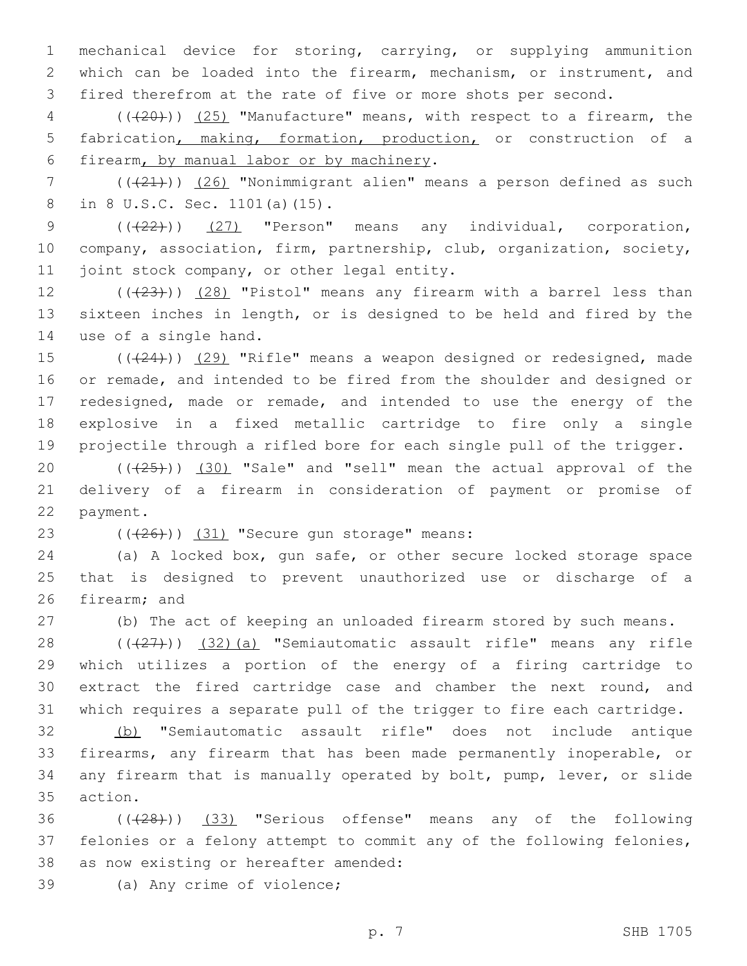1 mechanical device for storing, carrying, or supplying ammunition 2 which can be loaded into the firearm, mechanism, or instrument, and 3 fired therefrom at the rate of five or more shots per second.

4 (((20))) (25) "Manufacture" means, with respect to a firearm, the 5 fabrication, making, formation, production, or construction of a 6 firearm, by manual labor or by machinery.

 $7$  ( $(\frac{21}{2})$ ) (26) "Nonimmigrant alien" means a person defined as such 8 in 8 U.S.C. Sec. 1101(a)(15).

9 (( $(22)$ )) (27) "Person" means any individual, corporation, 10 company, association, firm, partnership, club, organization, society, 11 joint stock company, or other legal entity.

12  $((+23))$   $(28)$  "Pistol" means any firearm with a barrel less than 13 sixteen inches in length, or is designed to be held and fired by the 14 use of a single hand.

15 (( $(24)$ )) (29) "Rifle" means a weapon designed or redesigned, made or remade, and intended to be fired from the shoulder and designed or redesigned, made or remade, and intended to use the energy of the explosive in a fixed metallic cartridge to fire only a single projectile through a rifled bore for each single pull of the trigger.

20  $((+25))$   $(30)$  "Sale" and "sell" mean the actual approval of the 21 delivery of a firearm in consideration of payment or promise of 22 payment.

23  $((+26))$   $(31)$  "Secure gun storage" means:

24 (a) A locked box, gun safe, or other secure locked storage space 25 that is designed to prevent unauthorized use or discharge of a 26 firearm; and

27 (b) The act of keeping an unloaded firearm stored by such means.

28 (((27))) (32)(a) "Semiautomatic assault rifle" means any rifle which utilizes a portion of the energy of a firing cartridge to extract the fired cartridge case and chamber the next round, and which requires a separate pull of the trigger to fire each cartridge.

 (b) "Semiautomatic assault rifle" does not include antique firearms, any firearm that has been made permanently inoperable, or any firearm that is manually operated by bolt, pump, lever, or slide 35 action.

36 (( $(28)$ )) (33) "Serious offense" means any of the following 37 felonies or a felony attempt to commit any of the following felonies, 38 as now existing or hereafter amended:

39 (a) Any crime of violence;

p. 7 SHB 1705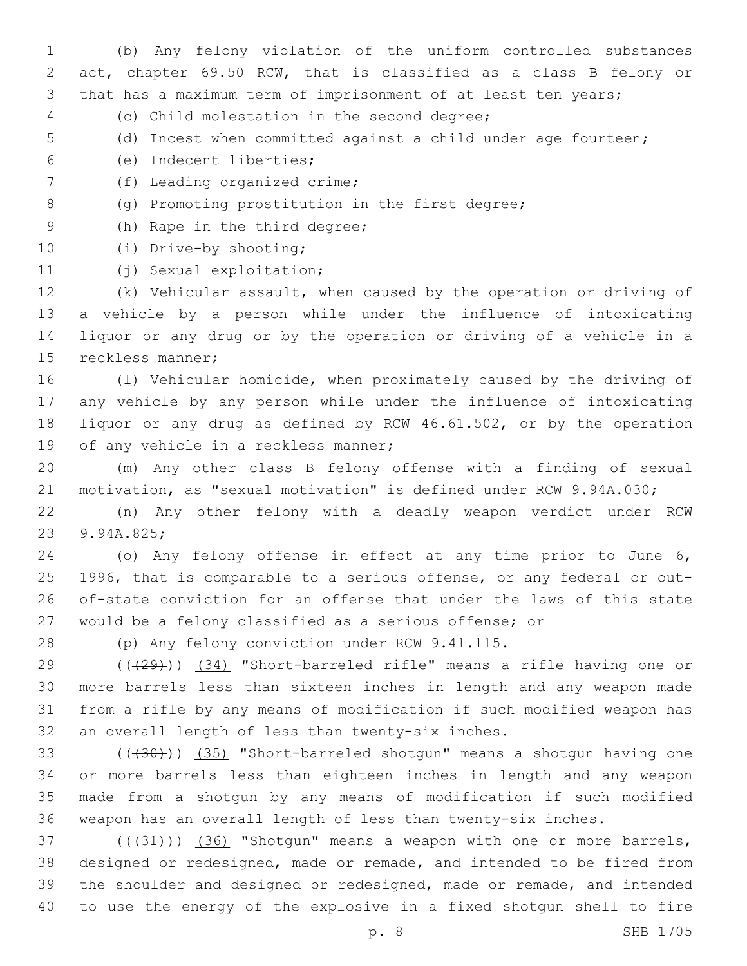(b) Any felony violation of the uniform controlled substances act, chapter 69.50 RCW, that is classified as a class B felony or that has a maximum term of imprisonment of at least ten years;

- (c) Child molestation in the second degree;4
- (d) Incest when committed against a child under age fourteen;
- (e) Indecent liberties;6
- 7 (f) Leading organized crime;
- 8 (g) Promoting prostitution in the first degree;
- 9 (h) Rape in the third degree;
- 10 (i) Drive-by shooting;
- 11 (j) Sexual exploitation;

 (k) Vehicular assault, when caused by the operation or driving of a vehicle by a person while under the influence of intoxicating liquor or any drug or by the operation or driving of a vehicle in a 15 reckless manner;

 (l) Vehicular homicide, when proximately caused by the driving of any vehicle by any person while under the influence of intoxicating liquor or any drug as defined by RCW 46.61.502, or by the operation 19 of any vehicle in a reckless manner;

 (m) Any other class B felony offense with a finding of sexual motivation, as "sexual motivation" is defined under RCW 9.94A.030;

 (n) Any other felony with a deadly weapon verdict under RCW 23 9.94A.825;

 (o) Any felony offense in effect at any time prior to June 6, 1996, that is comparable to a serious offense, or any federal or out- of-state conviction for an offense that under the laws of this state would be a felony classified as a serious offense; or

28 (p) Any felony conviction under RCW 9.41.115.

 (((29))) (34) "Short-barreled rifle" means a rifle having one or more barrels less than sixteen inches in length and any weapon made from a rifle by any means of modification if such modified weapon has 32 an overall length of less than twenty-six inches.

33 (((430))) (35) "Short-barreled shotgun" means a shotgun having one or more barrels less than eighteen inches in length and any weapon made from a shotgun by any means of modification if such modified weapon has an overall length of less than twenty-six inches.

 $(1,37)$  ( $(1,31)$ ) (36) "Shotgun" means a weapon with one or more barrels, designed or redesigned, made or remade, and intended to be fired from the shoulder and designed or redesigned, made or remade, and intended to use the energy of the explosive in a fixed shotgun shell to fire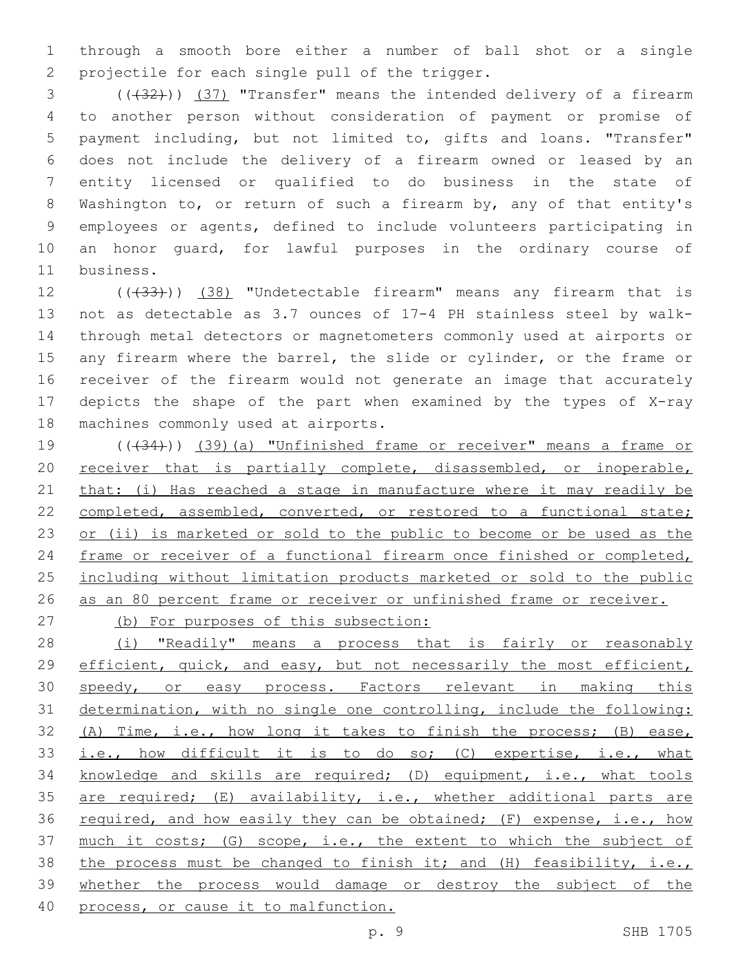1 through a smooth bore either a number of ball shot or a single 2 projectile for each single pull of the trigger.

3 (( $(32)$ )) (37) "Transfer" means the intended delivery of a firearm to another person without consideration of payment or promise of payment including, but not limited to, gifts and loans. "Transfer" does not include the delivery of a firearm owned or leased by an entity licensed or qualified to do business in the state of Washington to, or return of such a firearm by, any of that entity's employees or agents, defined to include volunteers participating in an honor guard, for lawful purposes in the ordinary course of 11 business.

12 (( $(33)$ )) (38) "Undetectable firearm" means any firearm that is 13 not as detectable as 3.7 ounces of 17-4 PH stainless steel by walk-14 through metal detectors or magnetometers commonly used at airports or 15 any firearm where the barrel, the slide or cylinder, or the frame or 16 receiver of the firearm would not generate an image that accurately 17 depicts the shape of the part when examined by the types of X-ray 18 machines commonly used at airports.

19 (( $(34)$ )) (39)(a) "Unfinished frame or receiver" means a frame or 20 receiver that is partially complete, disassembled, or inoperable, 21 that: (i) Has reached a stage in manufacture where it may readily be 22 completed, assembled, converted, or restored to a functional state; 23 or (ii) is marketed or sold to the public to become or be used as the 24 frame or receiver of a functional firearm once finished or completed, 25 including without limitation products marketed or sold to the public 26 as an 80 percent frame or receiver or unfinished frame or receiver.

27 (b) For purposes of this subsection:

28 (i) "Readily" means a process that is fairly or reasonably 29 efficient, quick, and easy, but not necessarily the most efficient, 30 speedy, or easy process. Factors relevant in making this 31 determination, with no single one controlling, include the following: 32 (A) Time, i.e., how long it takes to finish the process; (B) ease, 33 i.e., how difficult it is to do so; (C) expertise, i.e., what 34 knowledge and skills are required; (D) equipment, i.e., what tools 35 are required; (E) availability, i.e., whether additional parts are 36 required, and how easily they can be obtained; (F) expense, i.e., how 37 much it costs; (G) scope, i.e., the extent to which the subject of 38 the process must be changed to finish it; and (H) feasibility, i.e., 39 whether the process would damage or destroy the subject of the 40 process, or cause it to malfunction.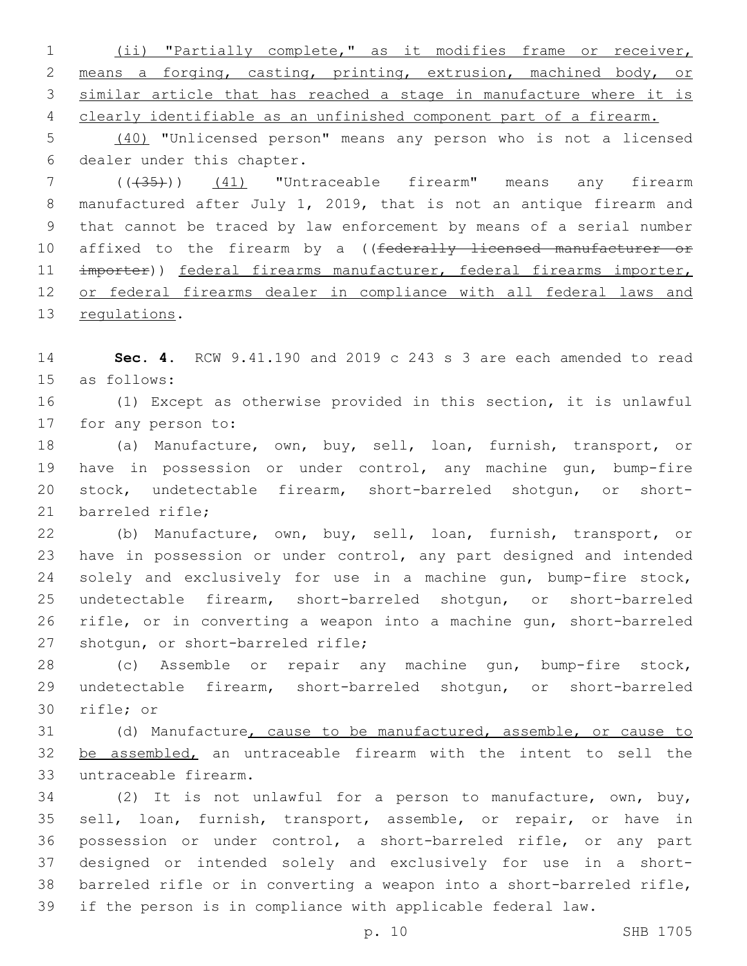(ii) "Partially complete," as it modifies frame or receiver, means a forging, casting, printing, extrusion, machined body, or similar article that has reached a stage in manufacture where it is clearly identifiable as an unfinished component part of a firearm.

 (40) "Unlicensed person" means any person who is not a licensed 6 dealer under this chapter.

 (((35))) (41) "Untraceable firearm" means any firearm manufactured after July 1, 2019, that is not an antique firearm and that cannot be traced by law enforcement by means of a serial number 10 affixed to the firearm by a ((federally licensed manufacturer or 11 importer)) federal firearms manufacturer, federal firearms importer, or federal firearms dealer in compliance with all federal laws and 13 regulations.

 **Sec. 4.** RCW 9.41.190 and 2019 c 243 s 3 are each amended to read 15 as follows:

 (1) Except as otherwise provided in this section, it is unlawful 17 for any person to:

 (a) Manufacture, own, buy, sell, loan, furnish, transport, or have in possession or under control, any machine gun, bump-fire stock, undetectable firearm, short-barreled shotgun, or short-21 barreled rifle:

 (b) Manufacture, own, buy, sell, loan, furnish, transport, or have in possession or under control, any part designed and intended solely and exclusively for use in a machine gun, bump-fire stock, undetectable firearm, short-barreled shotgun, or short-barreled rifle, or in converting a weapon into a machine gun, short-barreled 27 shotgun, or short-barreled rifle;

 (c) Assemble or repair any machine gun, bump-fire stock, undetectable firearm, short-barreled shotgun, or short-barreled 30 rifle; or

 (d) Manufacture, cause to be manufactured, assemble, or cause to 32 be assembled, an untraceable firearm with the intent to sell the untraceable firearm.33

 (2) It is not unlawful for a person to manufacture, own, buy, sell, loan, furnish, transport, assemble, or repair, or have in possession or under control, a short-barreled rifle, or any part designed or intended solely and exclusively for use in a short- barreled rifle or in converting a weapon into a short-barreled rifle, if the person is in compliance with applicable federal law.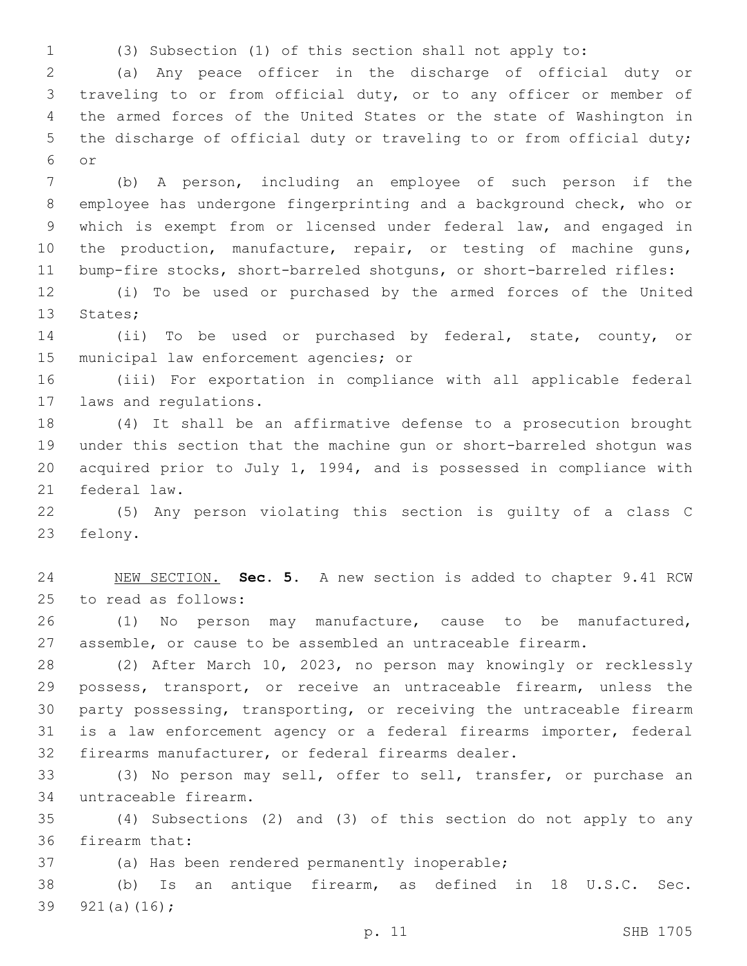(3) Subsection (1) of this section shall not apply to:

 (a) Any peace officer in the discharge of official duty or traveling to or from official duty, or to any officer or member of the armed forces of the United States or the state of Washington in the discharge of official duty or traveling to or from official duty; or6

 (b) A person, including an employee of such person if the employee has undergone fingerprinting and a background check, who or which is exempt from or licensed under federal law, and engaged in 10 the production, manufacture, repair, or testing of machine guns, bump-fire stocks, short-barreled shotguns, or short-barreled rifles:

 (i) To be used or purchased by the armed forces of the United 13 States;

 (ii) To be used or purchased by federal, state, county, or 15 municipal law enforcement agencies; or

 (iii) For exportation in compliance with all applicable federal 17 laws and regulations.

 (4) It shall be an affirmative defense to a prosecution brought under this section that the machine gun or short-barreled shotgun was acquired prior to July 1, 1994, and is possessed in compliance with 21 federal law.

 (5) Any person violating this section is guilty of a class C 23 felony.

 NEW SECTION. **Sec. 5.** A new section is added to chapter 9.41 RCW 25 to read as follows:

 (1) No person may manufacture, cause to be manufactured, assemble, or cause to be assembled an untraceable firearm.

 (2) After March 10, 2023, no person may knowingly or recklessly possess, transport, or receive an untraceable firearm, unless the party possessing, transporting, or receiving the untraceable firearm is a law enforcement agency or a federal firearms importer, federal firearms manufacturer, or federal firearms dealer.

 (3) No person may sell, offer to sell, transfer, or purchase an untraceable firearm.34

 (4) Subsections (2) and (3) of this section do not apply to any 36 firearm that:

37 (a) Has been rendered permanently inoperable;

 (b) Is an antique firearm, as defined in 18 U.S.C. Sec. 39  $921(a)(16)$ ;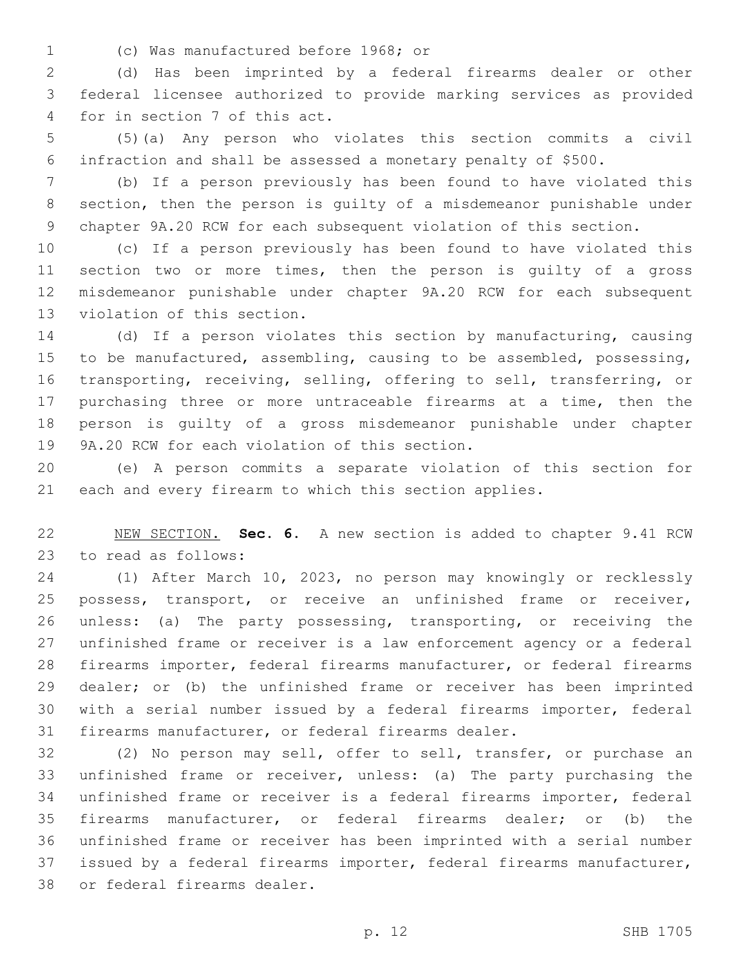(c) Was manufactured before 1968; or1

 (d) Has been imprinted by a federal firearms dealer or other federal licensee authorized to provide marking services as provided 4 for in section 7 of this act.

 (5)(a) Any person who violates this section commits a civil infraction and shall be assessed a monetary penalty of \$500.

 (b) If a person previously has been found to have violated this section, then the person is guilty of a misdemeanor punishable under chapter 9A.20 RCW for each subsequent violation of this section.

 (c) If a person previously has been found to have violated this section two or more times, then the person is guilty of a gross misdemeanor punishable under chapter 9A.20 RCW for each subsequent 13 violation of this section.

 (d) If a person violates this section by manufacturing, causing to be manufactured, assembling, causing to be assembled, possessing, transporting, receiving, selling, offering to sell, transferring, or purchasing three or more untraceable firearms at a time, then the person is guilty of a gross misdemeanor punishable under chapter 19 9A.20 RCW for each violation of this section.

 (e) A person commits a separate violation of this section for each and every firearm to which this section applies.

 NEW SECTION. **Sec. 6.** A new section is added to chapter 9.41 RCW 23 to read as follows:

 (1) After March 10, 2023, no person may knowingly or recklessly possess, transport, or receive an unfinished frame or receiver, unless: (a) The party possessing, transporting, or receiving the unfinished frame or receiver is a law enforcement agency or a federal firearms importer, federal firearms manufacturer, or federal firearms dealer; or (b) the unfinished frame or receiver has been imprinted with a serial number issued by a federal firearms importer, federal firearms manufacturer, or federal firearms dealer.

 (2) No person may sell, offer to sell, transfer, or purchase an unfinished frame or receiver, unless: (a) The party purchasing the unfinished frame or receiver is a federal firearms importer, federal firearms manufacturer, or federal firearms dealer; or (b) the unfinished frame or receiver has been imprinted with a serial number issued by a federal firearms importer, federal firearms manufacturer, 38 or federal firearms dealer.

p. 12 SHB 1705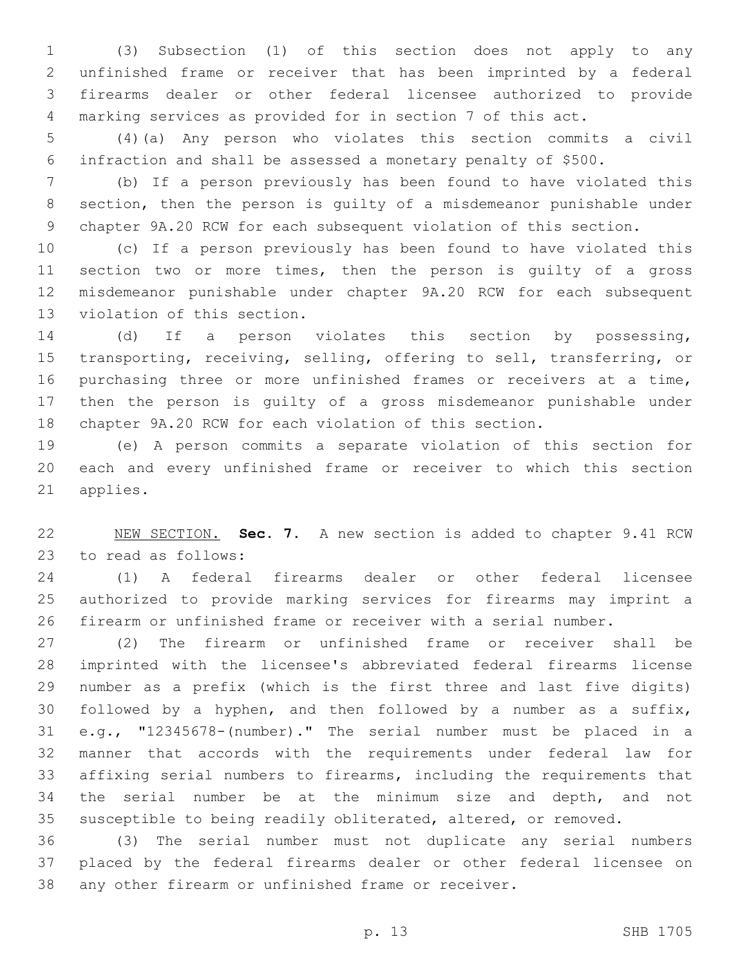(3) Subsection (1) of this section does not apply to any unfinished frame or receiver that has been imprinted by a federal firearms dealer or other federal licensee authorized to provide marking services as provided for in section 7 of this act.

 (4)(a) Any person who violates this section commits a civil infraction and shall be assessed a monetary penalty of \$500.

 (b) If a person previously has been found to have violated this section, then the person is guilty of a misdemeanor punishable under chapter 9A.20 RCW for each subsequent violation of this section.

 (c) If a person previously has been found to have violated this section two or more times, then the person is guilty of a gross misdemeanor punishable under chapter 9A.20 RCW for each subsequent 13 violation of this section.

 (d) If a person violates this section by possessing, transporting, receiving, selling, offering to sell, transferring, or purchasing three or more unfinished frames or receivers at a time, then the person is guilty of a gross misdemeanor punishable under chapter 9A.20 RCW for each violation of this section.

 (e) A person commits a separate violation of this section for each and every unfinished frame or receiver to which this section 21 applies.

 NEW SECTION. **Sec. 7.** A new section is added to chapter 9.41 RCW 23 to read as follows:

 (1) A federal firearms dealer or other federal licensee authorized to provide marking services for firearms may imprint a firearm or unfinished frame or receiver with a serial number.

 (2) The firearm or unfinished frame or receiver shall be imprinted with the licensee's abbreviated federal firearms license number as a prefix (which is the first three and last five digits) followed by a hyphen, and then followed by a number as a suffix, e.g., "12345678-(number)." The serial number must be placed in a manner that accords with the requirements under federal law for affixing serial numbers to firearms, including the requirements that the serial number be at the minimum size and depth, and not susceptible to being readily obliterated, altered, or removed.

 (3) The serial number must not duplicate any serial numbers placed by the federal firearms dealer or other federal licensee on any other firearm or unfinished frame or receiver.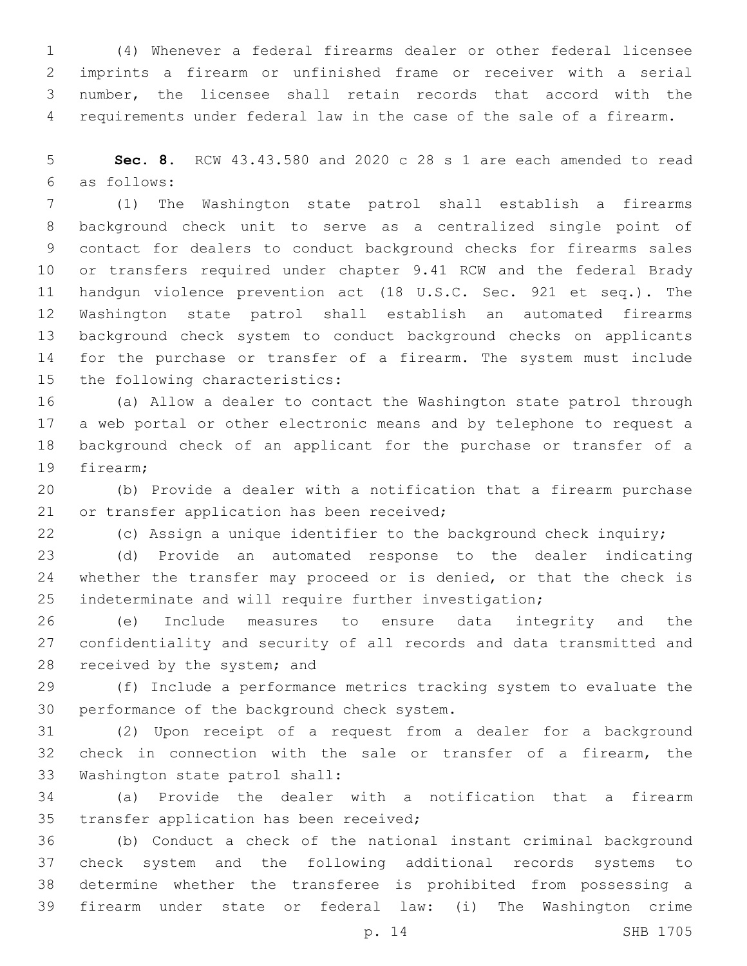(4) Whenever a federal firearms dealer or other federal licensee imprints a firearm or unfinished frame or receiver with a serial number, the licensee shall retain records that accord with the requirements under federal law in the case of the sale of a firearm.

 **Sec. 8.** RCW 43.43.580 and 2020 c 28 s 1 are each amended to read as follows:6

 (1) The Washington state patrol shall establish a firearms background check unit to serve as a centralized single point of contact for dealers to conduct background checks for firearms sales or transfers required under chapter 9.41 RCW and the federal Brady handgun violence prevention act (18 U.S.C. Sec. 921 et seq.). The Washington state patrol shall establish an automated firearms background check system to conduct background checks on applicants for the purchase or transfer of a firearm. The system must include 15 the following characteristics:

 (a) Allow a dealer to contact the Washington state patrol through a web portal or other electronic means and by telephone to request a background check of an applicant for the purchase or transfer of a 19 firearm:

 (b) Provide a dealer with a notification that a firearm purchase 21 or transfer application has been received;

(c) Assign a unique identifier to the background check inquiry;

 (d) Provide an automated response to the dealer indicating 24 whether the transfer may proceed or is denied, or that the check is indeterminate and will require further investigation;

 (e) Include measures to ensure data integrity and the confidentiality and security of all records and data transmitted and 28 received by the system; and

 (f) Include a performance metrics tracking system to evaluate the 30 performance of the background check system.

 (2) Upon receipt of a request from a dealer for a background check in connection with the sale or transfer of a firearm, the 33 Washington state patrol shall:

 (a) Provide the dealer with a notification that a firearm 35 transfer application has been received;

 (b) Conduct a check of the national instant criminal background check system and the following additional records systems to determine whether the transferee is prohibited from possessing a firearm under state or federal law: (i) The Washington crime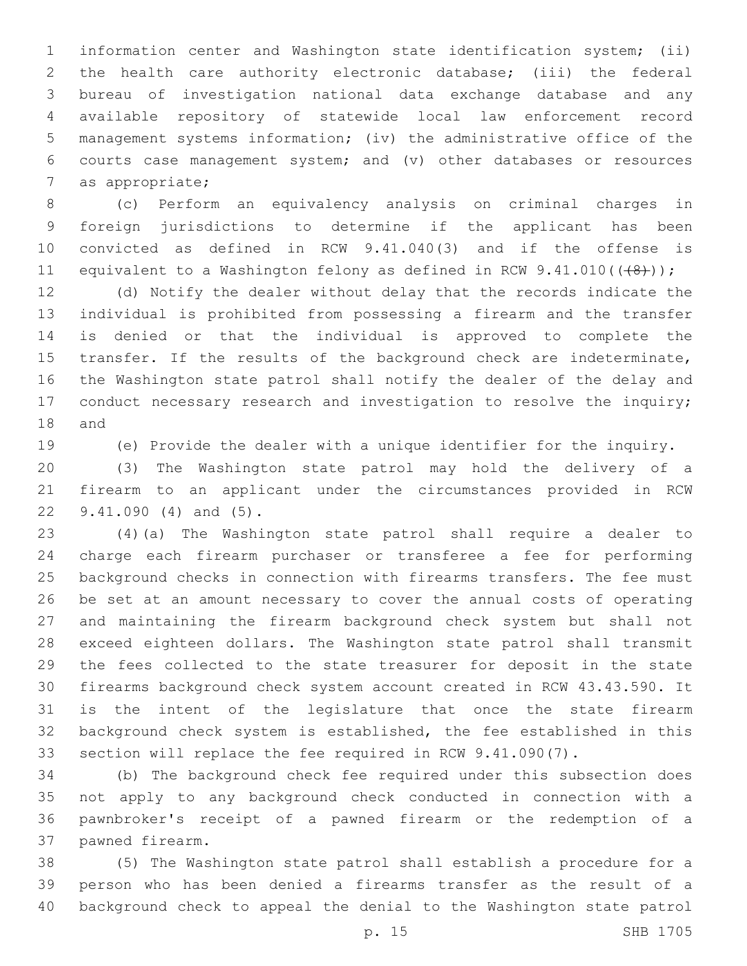information center and Washington state identification system; (ii) the health care authority electronic database; (iii) the federal bureau of investigation national data exchange database and any available repository of statewide local law enforcement record management systems information; (iv) the administrative office of the courts case management system; and (v) other databases or resources 7 as appropriate;

 (c) Perform an equivalency analysis on criminal charges in foreign jurisdictions to determine if the applicant has been convicted as defined in RCW 9.41.040(3) and if the offense is 11 equivalent to a Washington felony as defined in RCW  $9.41.010((\{8\}))$ ;

 (d) Notify the dealer without delay that the records indicate the individual is prohibited from possessing a firearm and the transfer is denied or that the individual is approved to complete the transfer. If the results of the background check are indeterminate, the Washington state patrol shall notify the dealer of the delay and 17 conduct necessary research and investigation to resolve the inquiry; 18 and

(e) Provide the dealer with a unique identifier for the inquiry.

 (3) The Washington state patrol may hold the delivery of a firearm to an applicant under the circumstances provided in RCW 22 9.41.090 (4) and (5).

 (4)(a) The Washington state patrol shall require a dealer to charge each firearm purchaser or transferee a fee for performing background checks in connection with firearms transfers. The fee must be set at an amount necessary to cover the annual costs of operating and maintaining the firearm background check system but shall not exceed eighteen dollars. The Washington state patrol shall transmit the fees collected to the state treasurer for deposit in the state firearms background check system account created in RCW 43.43.590. It is the intent of the legislature that once the state firearm background check system is established, the fee established in this section will replace the fee required in RCW 9.41.090(7).

 (b) The background check fee required under this subsection does not apply to any background check conducted in connection with a pawnbroker's receipt of a pawned firearm or the redemption of a 37 pawned firearm.

 (5) The Washington state patrol shall establish a procedure for a person who has been denied a firearms transfer as the result of a background check to appeal the denial to the Washington state patrol